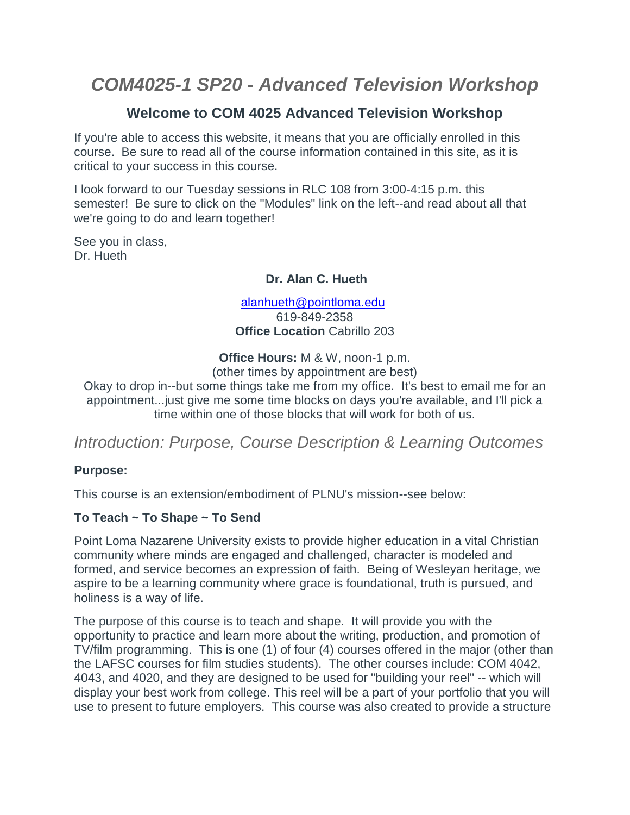# *COM4025-1 SP20 - Advanced Television Workshop*

### **Welcome to COM 4025 Advanced Television Workshop**

If you're able to access this website, it means that you are officially enrolled in this course. Be sure to read all of the course information contained in this site, as it is critical to your success in this course.

I look forward to our Tuesday sessions in RLC 108 from 3:00-4:15 p.m. this semester! Be sure to click on the "Modules" link on the left--and read about all that we're going to do and learn together!

See you in class, Dr. Hueth

#### **Dr. Alan C. Hueth**

[alanhueth@pointloma.edu](mailto:alanhueth@pointloma.edu) 619-849-2358 **Office Location** Cabrillo 203

**Office Hours:** M & W, noon-1 p.m.

(other times by appointment are best)

Okay to drop in--but some things take me from my office. It's best to email me for an appointment...just give me some time blocks on days you're available, and I'll pick a time within one of those blocks that will work for both of us.

## *Introduction: Purpose, Course Description & Learning Outcomes*

#### **Purpose:**

This course is an extension/embodiment of PLNU's mission--see below:

#### **To Teach ~ To Shape ~ To Send**

Point Loma Nazarene University exists to provide higher education in a vital Christian community where minds are engaged and challenged, character is modeled and formed, and service becomes an expression of faith. Being of Wesleyan heritage, we aspire to be a learning community where grace is foundational, truth is pursued, and holiness is a way of life.

The purpose of this course is to teach and shape. It will provide you with the opportunity to practice and learn more about the writing, production, and promotion of TV/film programming. This is one (1) of four (4) courses offered in the major (other than the LAFSC courses for film studies students). The other courses include: COM 4042, 4043, and 4020, and they are designed to be used for "building your reel" -- which will display your best work from college. This reel will be a part of your portfolio that you will use to present to future employers. This course was also created to provide a structure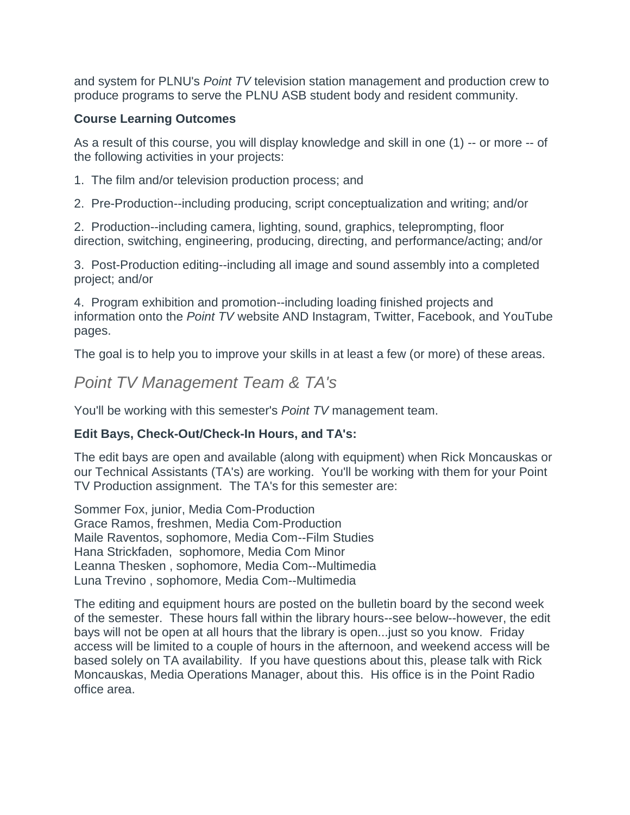and system for PLNU's *Point TV* television station management and production crew to produce programs to serve the PLNU ASB student body and resident community.

#### **Course Learning Outcomes**

As a result of this course, you will display knowledge and skill in one (1) -- or more -- of the following activities in your projects:

- 1. The film and/or television production process; and
- 2. Pre-Production--including producing, script conceptualization and writing; and/or

2. Production--including camera, lighting, sound, graphics, teleprompting, floor direction, switching, engineering, producing, directing, and performance/acting; and/or

3. Post-Production editing--including all image and sound assembly into a completed project; and/or

4. Program exhibition and promotion--including loading finished projects and information onto the *Point TV* website AND Instagram, Twitter, Facebook, and YouTube pages.

The goal is to help you to improve your skills in at least a few (or more) of these areas.

## *Point TV Management Team & TA's*

You'll be working with this semester's *Point TV* management team.

#### **Edit Bays, Check-Out/Check-In Hours, and TA's:**

The edit bays are open and available (along with equipment) when Rick Moncauskas or our Technical Assistants (TA's) are working. You'll be working with them for your Point TV Production assignment. The TA's for this semester are:

Sommer Fox, junior, Media Com-Production Grace Ramos, freshmen, Media Com-Production Maile Raventos, sophomore, Media Com--Film Studies Hana Strickfaden, sophomore, Media Com Minor Leanna Thesken , sophomore, Media Com--Multimedia Luna Trevino , sophomore, Media Com--Multimedia

The editing and equipment hours are posted on the bulletin board by the second week of the semester. These hours fall within the library hours--see below--however, the edit bays will not be open at all hours that the library is open...just so you know. Friday access will be limited to a couple of hours in the afternoon, and weekend access will be based solely on TA availability. If you have questions about this, please talk with Rick Moncauskas, Media Operations Manager, about this. His office is in the Point Radio office area.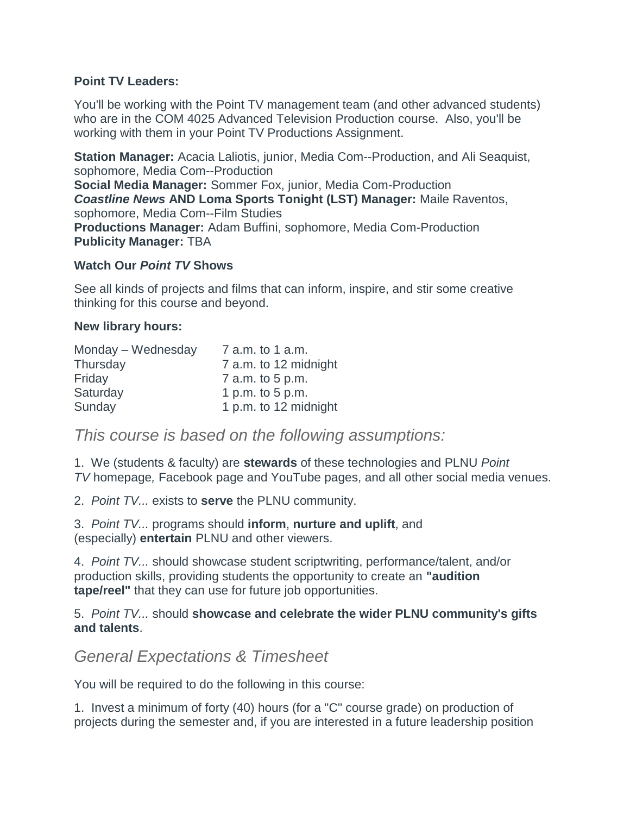#### **Point TV Leaders:**

You'll be working with the Point TV management team (and other advanced students) who are in the COM 4025 Advanced Television Production course. Also, you'll be working with them in your Point TV Productions Assignment.

**Station Manager:** Acacia Laliotis, junior, Media Com--Production, and Ali Seaquist, sophomore, Media Com--Production **Social Media Manager:** Sommer Fox, junior, Media Com-Production *Coastline News* **AND Loma Sports Tonight (LST) Manager:** Maile Raventos, sophomore, Media Com--Film Studies **Productions Manager:** Adam Buffini, sophomore, Media Com-Production **Publicity Manager:** TBA

#### **Watch Our** *Point TV* **Shows**

See all kinds of projects and films that can inform, inspire, and stir some creative thinking for this course and beyond.

#### **New library hours:**

| Monday – Wednesday | 7 a.m. to 1 a.m.      |
|--------------------|-----------------------|
| Thursday           | 7 a.m. to 12 midnight |
| Friday             | 7 a.m. to 5 p.m.      |
| Saturday           | 1 p.m. to $5$ p.m.    |
| Sunday             | 1 p.m. to 12 midnight |

*This course is based on the following assumptions:*

1. We (students & faculty) are **stewards** of these technologies and PLNU *Point TV* homepage*,* Facebook page and YouTube pages, and all other social media venues.

2. *Point TV...* exists to **serve** the PLNU community.

3. *Point TV...* programs should **inform**, **nurture and uplift**, and (especially) **entertain** PLNU and other viewers.

4. *Point TV...* should showcase student scriptwriting, performance/talent, and/or production skills, providing students the opportunity to create an **"audition tape/reel"** that they can use for future job opportunities.

5. *Point TV...* should **showcase and celebrate the wider PLNU community's gifts and talents**.

## *General Expectations & Timesheet*

You will be required to do the following in this course:

1. Invest a minimum of forty (40) hours (for a "C" course grade) on production of projects during the semester and, if you are interested in a future leadership position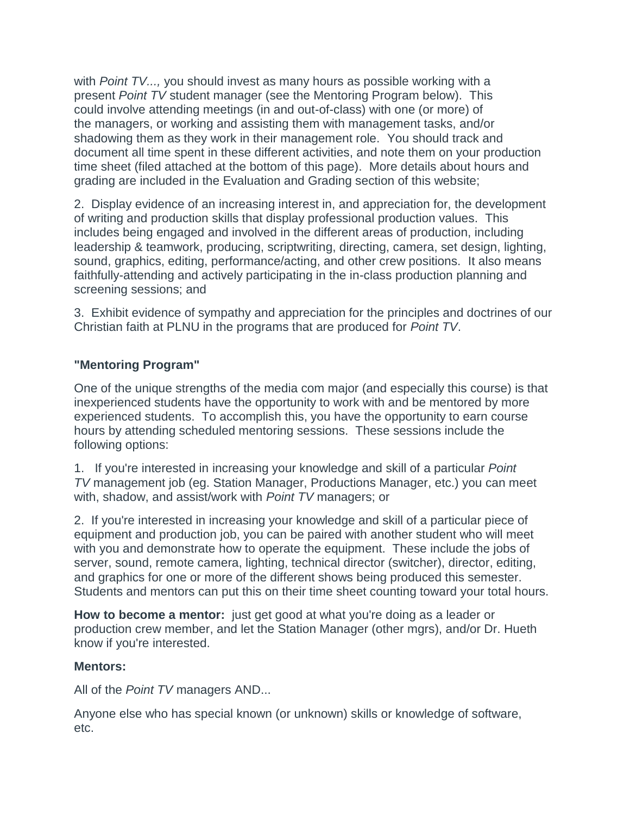with *Point TV...,* you should invest as many hours as possible working with a present *Point TV* student manager (see the Mentoring Program below). This could involve attending meetings (in and out-of-class) with one (or more) of the managers, or working and assisting them with management tasks, and/or shadowing them as they work in their management role. You should track and document all time spent in these different activities, and note them on your production time sheet (filed attached at the bottom of this page). More details about hours and grading are included in the Evaluation and Grading section of this website;

2. Display evidence of an increasing interest in, and appreciation for, the development of writing and production skills that display professional production values. This includes being engaged and involved in the different areas of production, including leadership & teamwork, producing, scriptwriting, directing, camera, set design, lighting, sound, graphics, editing, performance/acting, and other crew positions. It also means faithfully-attending and actively participating in the in-class production planning and screening sessions; and

3. Exhibit evidence of sympathy and appreciation for the principles and doctrines of our Christian faith at PLNU in the programs that are produced for *Point TV*.

#### **"Mentoring Program"**

One of the unique strengths of the media com major (and especially this course) is that inexperienced students have the opportunity to work with and be mentored by more experienced students. To accomplish this, you have the opportunity to earn course hours by attending scheduled mentoring sessions. These sessions include the following options:

1. If you're interested in increasing your knowledge and skill of a particular *Point TV* management job (eg. Station Manager, Productions Manager, etc.) you can meet with, shadow, and assist/work with *Point TV* managers; or

2. If you're interested in increasing your knowledge and skill of a particular piece of equipment and production job, you can be paired with another student who will meet with you and demonstrate how to operate the equipment. These include the jobs of server, sound, remote camera, lighting, technical director (switcher), director, editing, and graphics for one or more of the different shows being produced this semester. Students and mentors can put this on their time sheet counting toward your total hours.

**How to become a mentor:** just get good at what you're doing as a leader or production crew member, and let the Station Manager (other mgrs), and/or Dr. Hueth know if you're interested.

#### **Mentors:**

All of the *Point TV* managers AND...

Anyone else who has special known (or unknown) skills or knowledge of software, etc.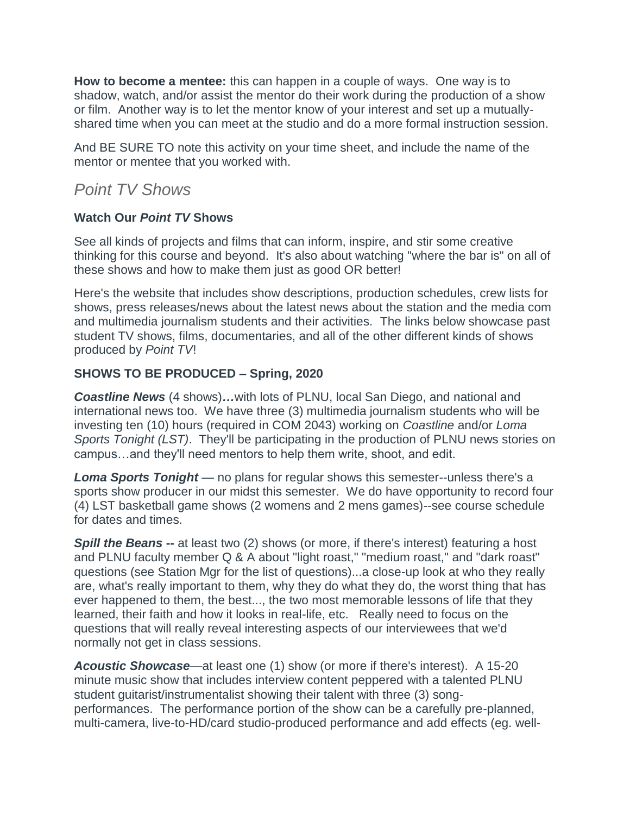**How to become a mentee:** this can happen in a couple of ways. One way is to shadow, watch, and/or assist the mentor do their work during the production of a show or film. Another way is to let the mentor know of your interest and set up a mutuallyshared time when you can meet at the studio and do a more formal instruction session.

And BE SURE TO note this activity on your time sheet, and include the name of the mentor or mentee that you worked with.

## *Point TV Shows*

#### **Watch Our** *Point TV* **Shows**

See all kinds of projects and films that can inform, inspire, and stir some creative thinking for this course and beyond. It's also about watching "where the bar is" on all of these shows and how to make them just as good OR better!

Here's the website that includes show descriptions, production schedules, crew lists for shows, press releases/news about the latest news about the station and the media com and multimedia journalism students and their activities. The links below showcase past student TV shows, films, documentaries, and all of the other different kinds of shows produced by *Point TV*!

#### **SHOWS TO BE PRODUCED – Spring, 2020**

*Coastline News* (4 shows)*…*with lots of PLNU, local San Diego, and national and international news too. We have three (3) multimedia journalism students who will be investing ten (10) hours (required in COM 2043) working on *Coastline* and/or *Loma Sports Tonight (LST)*. They'll be participating in the production of PLNU news stories on campus…and they'll need mentors to help them write, shoot, and edit.

*Loma Sports Tonight* — no plans for regular shows this semester--unless there's a sports show producer in our midst this semester. We do have opportunity to record four (4) LST basketball game shows (2 womens and 2 mens games)--see course schedule for dates and times.

**Spill the Beans** -- at least two (2) shows (or more, if there's interest) featuring a host and PLNU faculty member Q & A about "light roast," "medium roast," and "dark roast" questions (see Station Mgr for the list of questions)...a close-up look at who they really are, what's really important to them, why they do what they do, the worst thing that has ever happened to them, the best..., the two most memorable lessons of life that they learned, their faith and how it looks in real-life, etc. Really need to focus on the questions that will really reveal interesting aspects of our interviewees that we'd normally not get in class sessions.

*Acoustic Showcase*—at least one (1) show (or more if there's interest). A 15-20 minute music show that includes interview content peppered with a talented PLNU student guitarist/instrumentalist showing their talent with three (3) songperformances. The performance portion of the show can be a carefully pre-planned, multi-camera, live-to-HD/card studio-produced performance and add effects (eg. well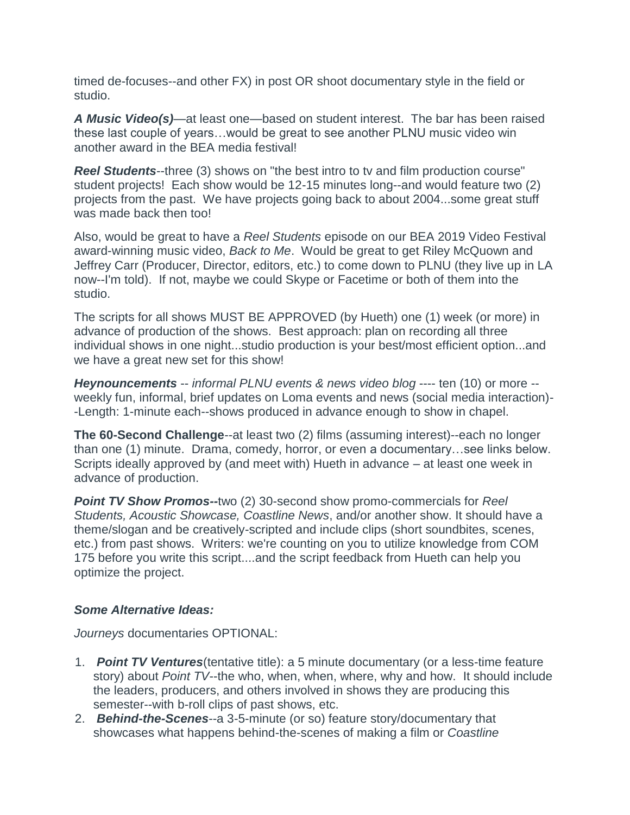timed de-focuses--and other FX) in post OR shoot documentary style in the field or studio.

*A Music Video(s)*—at least one—based on student interest. The bar has been raised these last couple of years…would be great to see another PLNU music video win another award in the BEA media festival!

*Reel Students*--three (3) shows on "the best intro to tv and film production course" student projects! Each show would be 12-15 minutes long--and would feature two (2) projects from the past. We have projects going back to about 2004...some great stuff was made back then too!

Also, would be great to have a *Reel Students* episode on our BEA 2019 Video Festival award-winning music video, *Back to Me*. Would be great to get Riley McQuown and Jeffrey Carr (Producer, Director, editors, etc.) to come down to PLNU (they live up in LA now--I'm told). If not, maybe we could Skype or Facetime or both of them into the studio.

The scripts for all shows MUST BE APPROVED (by Hueth) one (1) week (or more) in advance of production of the shows. Best approach: plan on recording all three individual shows in one night...studio production is your best/most efficient option...and we have a great new set for this show!

*Heynouncements* -- *informal PLNU events & news video blog* ---- ten (10) or more - weekly fun, informal, brief updates on Loma events and news (social media interaction)- -Length: 1-minute each--shows produced in advance enough to show in chapel.

**The 60-Second Challenge**--at least two (2) films (assuming interest)--each no longer than one (1) minute. Drama, comedy, horror, or even a documentary…see links below. Scripts ideally approved by (and meet with) Hueth in advance – at least one week in advance of production.

*Point TV Show Promos--*two (2) 30-second show promo-commercials for *Reel Students, Acoustic Showcase, Coastline News*, and/or another show. It should have a theme/slogan and be creatively-scripted and include clips (short soundbites, scenes, etc.) from past shows. Writers: we're counting on you to utilize knowledge from COM 175 before you write this script....and the script feedback from Hueth can help you optimize the project.

#### *Some Alternative Ideas:*

*Journeys* documentaries OPTIONAL:

- 1. *Point TV Ventures*(tentative title): a 5 minute documentary (or a less-time feature story) about *Point TV*--the who, when, when, where, why and how. It should include the leaders, producers, and others involved in shows they are producing this semester--with b-roll clips of past shows, etc.
- 2. *Behind-the-Scenes*--a 3-5-minute (or so) feature story/documentary that showcases what happens behind-the-scenes of making a film or *Coastline*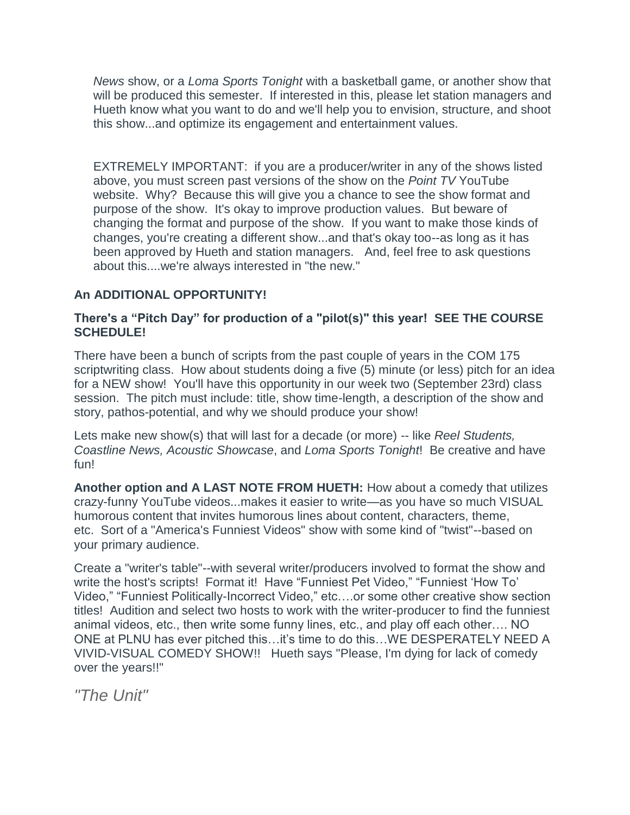*News* show, or a *Loma Sports Tonight* with a basketball game, or another show that will be produced this semester. If interested in this, please let station managers and Hueth know what you want to do and we'll help you to envision, structure, and shoot this show...and optimize its engagement and entertainment values.

EXTREMELY IMPORTANT: if you are a producer/writer in any of the shows listed above, you must screen past versions of the show on the *Point TV* YouTube website. Why? Because this will give you a chance to see the show format and purpose of the show. It's okay to improve production values. But beware of changing the format and purpose of the show. If you want to make those kinds of changes, you're creating a different show...and that's okay too--as long as it has been approved by Hueth and station managers. And, feel free to ask questions about this....we're always interested in "the new."

#### **An ADDITIONAL OPPORTUNITY!**

#### **There's a "Pitch Day" for production of a "pilot(s)" this year! SEE THE COURSE SCHEDULE!**

There have been a bunch of scripts from the past couple of years in the COM 175 scriptwriting class. How about students doing a five (5) minute (or less) pitch for an idea for a NEW show! You'll have this opportunity in our week two (September 23rd) class session. The pitch must include: title, show time-length, a description of the show and story, pathos-potential, and why we should produce your show!

Lets make new show(s) that will last for a decade (or more) -- like *Reel Students, Coastline News, Acoustic Showcase*, and *Loma Sports Tonight*! Be creative and have fun!

**Another option and A LAST NOTE FROM HUETH:** How about a comedy that utilizes crazy-funny YouTube videos...makes it easier to write—as you have so much VISUAL humorous content that invites humorous lines about content, characters, theme, etc. Sort of a "America's Funniest Videos" show with some kind of "twist"--based on your primary audience.

Create a "writer's table"--with several writer/producers involved to format the show and write the host's scripts! Format it! Have "Funniest Pet Video," "Funniest 'How To' Video," "Funniest Politically-Incorrect Video," etc….or some other creative show section titles! Audition and select two hosts to work with the writer-producer to find the funniest animal videos, etc., then write some funny lines, etc., and play off each other…. NO ONE at PLNU has ever pitched this…it's time to do this…WE DESPERATELY NEED A VIVID-VISUAL COMEDY SHOW!! Hueth says "Please, I'm dying for lack of comedy over the years!!"

*"The Unit"*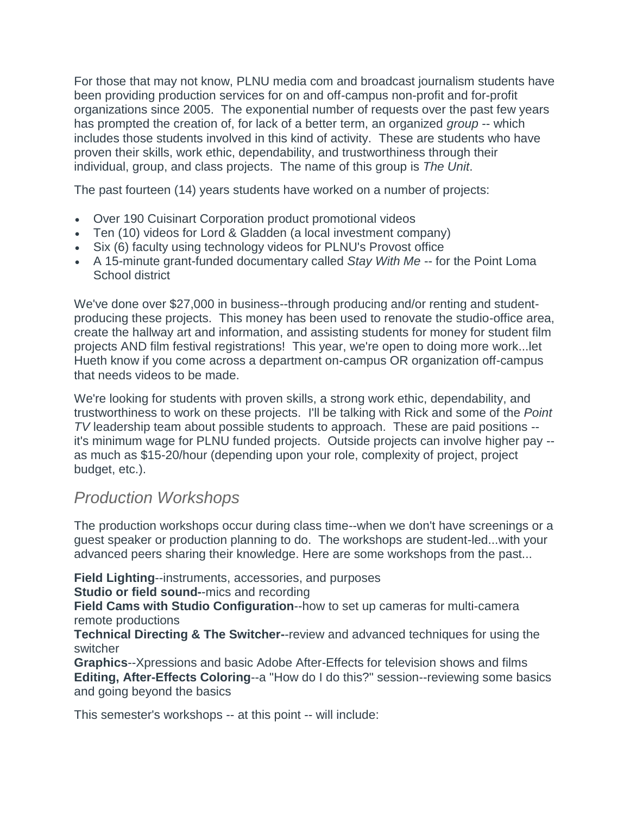For those that may not know, PLNU media com and broadcast journalism students have been providing production services for on and off-campus non-profit and for-profit organizations since 2005. The exponential number of requests over the past few years has prompted the creation of, for lack of a better term, an organized *group* -- which includes those students involved in this kind of activity. These are students who have proven their skills, work ethic, dependability, and trustworthiness through their individual, group, and class projects. The name of this group is *The Unit*.

The past fourteen (14) years students have worked on a number of projects:

- Over 190 Cuisinart Corporation product promotional videos
- Ten (10) videos for Lord & Gladden (a local investment company)
- Six (6) faculty using technology videos for PLNU's Provost office
- A 15-minute grant-funded documentary called *Stay With Me* -- for the Point Loma School district

We've done over \$27,000 in business--through producing and/or renting and studentproducing these projects. This money has been used to renovate the studio-office area, create the hallway art and information, and assisting students for money for student film projects AND film festival registrations! This year, we're open to doing more work...let Hueth know if you come across a department on-campus OR organization off-campus that needs videos to be made.

We're looking for students with proven skills, a strong work ethic, dependability, and trustworthiness to work on these projects. I'll be talking with Rick and some of the *Point TV* leadership team about possible students to approach. These are paid positions - it's minimum wage for PLNU funded projects. Outside projects can involve higher pay - as much as \$15-20/hour (depending upon your role, complexity of project, project budget, etc.).

## *Production Workshops*

The production workshops occur during class time--when we don't have screenings or a guest speaker or production planning to do. The workshops are student-led...with your advanced peers sharing their knowledge. Here are some workshops from the past...

**Field Lighting**--instruments, accessories, and purposes

**Studio or field sound-**-mics and recording

**Field Cams with Studio Configuration**--how to set up cameras for multi-camera remote productions

**Technical Directing & The Switcher-**-review and advanced techniques for using the switcher

**Graphics**--Xpressions and basic Adobe After-Effects for television shows and films **Editing, After-Effects Coloring**--a "How do I do this?" session--reviewing some basics and going beyond the basics

This semester's workshops -- at this point -- will include: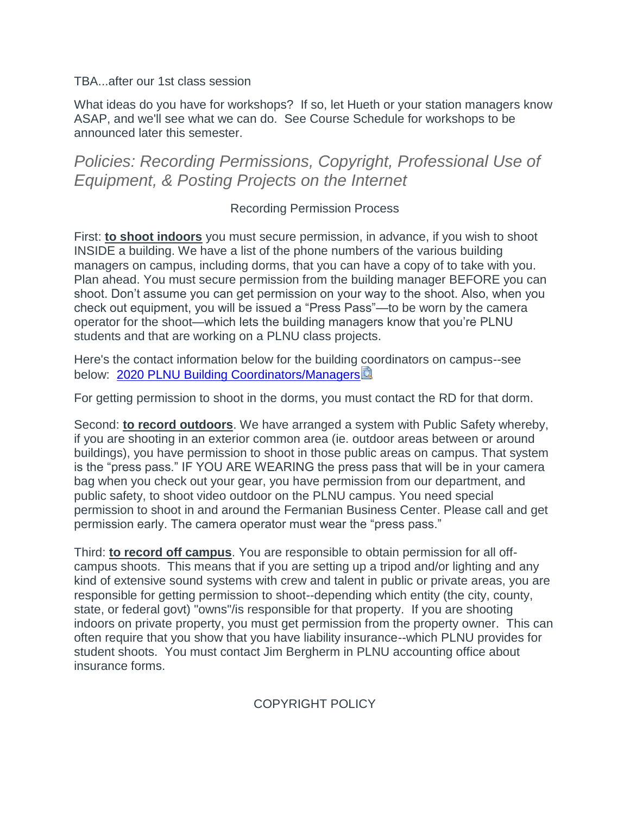#### TBA...after our 1st class session

What ideas do you have for workshops? If so, let Hueth or your station managers know ASAP, and we'll see what we can do. See Course Schedule for workshops to be announced later this semester.

## *Policies: Recording Permissions, Copyright, Professional Use of Equipment, & Posting Projects on the Internet*

#### Recording Permission Process

First: **to shoot indoors** you must secure permission, in advance, if you wish to shoot INSIDE a building. We have a list of the phone numbers of the various building managers on campus, including dorms, that you can have a copy of to take with you. Plan ahead. You must secure permission from the building manager BEFORE you can shoot. Don't assume you can get permission on your way to the shoot. Also, when you check out equipment, you will be issued a "Press Pass"—to be worn by the camera operator for the shoot—which lets the building managers know that you're PLNU students and that are working on a PLNU class projects.

Here's the contact information below for the building coordinators on campus--see below: [2020 PLNU Building Coordinators/Managers](https://canvas.pointloma.edu/courses/48048/files/2992789/download?wrap=1)

For getting permission to shoot in the dorms, you must contact the RD for that dorm.

Second: **to record outdoors**. We have arranged a system with Public Safety whereby, if you are shooting in an exterior common area (ie. outdoor areas between or around buildings), you have permission to shoot in those public areas on campus. That system is the "press pass." IF YOU ARE WEARING the press pass that will be in your camera bag when you check out your gear, you have permission from our department, and public safety, to shoot video outdoor on the PLNU campus. You need special permission to shoot in and around the Fermanian Business Center. Please call and get permission early. The camera operator must wear the "press pass."

Third: **to record off campus**. You are responsible to obtain permission for all offcampus shoots. This means that if you are setting up a tripod and/or lighting and any kind of extensive sound systems with crew and talent in public or private areas, you are responsible for getting permission to shoot--depending which entity (the city, county, state, or federal govt) "owns"/is responsible for that property. If you are shooting indoors on private property, you must get permission from the property owner. This can often require that you show that you have liability insurance--which PLNU provides for student shoots. You must contact Jim Bergherm in PLNU accounting office about insurance forms.

COPYRIGHT POLICY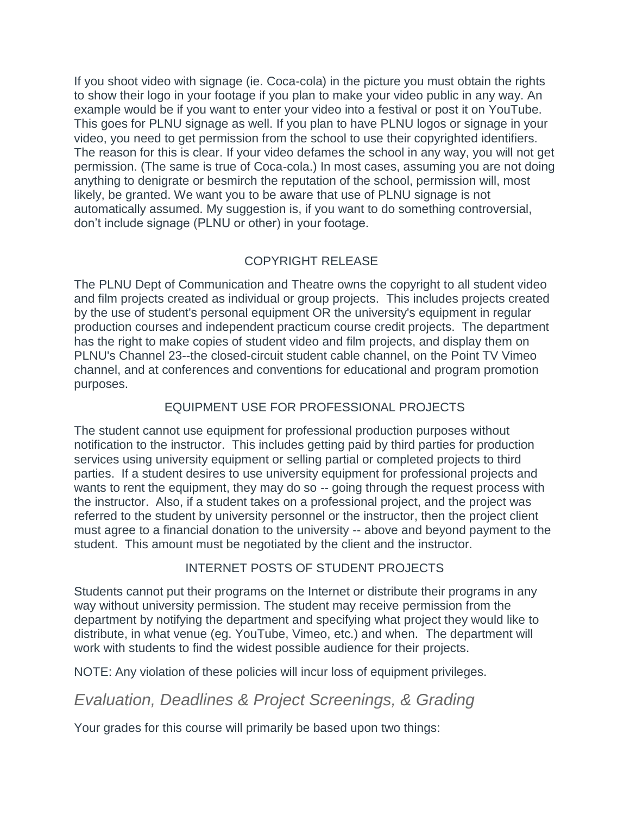If you shoot video with signage (ie. Coca-cola) in the picture you must obtain the rights to show their logo in your footage if you plan to make your video public in any way. An example would be if you want to enter your video into a festival or post it on YouTube. This goes for PLNU signage as well. If you plan to have PLNU logos or signage in your video, you need to get permission from the school to use their copyrighted identifiers. The reason for this is clear. If your video defames the school in any way, you will not get permission. (The same is true of Coca-cola.) In most cases, assuming you are not doing anything to denigrate or besmirch the reputation of the school, permission will, most likely, be granted. We want you to be aware that use of PLNU signage is not automatically assumed. My suggestion is, if you want to do something controversial, don't include signage (PLNU or other) in your footage.

### COPYRIGHT RELEASE

The PLNU Dept of Communication and Theatre owns the copyright to all student video and film projects created as individual or group projects. This includes projects created by the use of student's personal equipment OR the university's equipment in regular production courses and independent practicum course credit projects. The department has the right to make copies of student video and film projects, and display them on PLNU's Channel 23--the closed-circuit student cable channel, on the Point TV Vimeo channel, and at conferences and conventions for educational and program promotion purposes.

### EQUIPMENT USE FOR PROFESSIONAL PROJECTS

The student cannot use equipment for professional production purposes without notification to the instructor. This includes getting paid by third parties for production services using university equipment or selling partial or completed projects to third parties. If a student desires to use university equipment for professional projects and wants to rent the equipment, they may do so -- going through the request process with the instructor. Also, if a student takes on a professional project, and the project was referred to the student by university personnel or the instructor, then the project client must agree to a financial donation to the university -- above and beyond payment to the student. This amount must be negotiated by the client and the instructor.

#### INTERNET POSTS OF STUDENT PROJECTS

Students cannot put their programs on the Internet or distribute their programs in any way without university permission. The student may receive permission from the department by notifying the department and specifying what project they would like to distribute, in what venue (eg. YouTube, Vimeo, etc.) and when. The department will work with students to find the widest possible audience for their projects.

NOTE: Any violation of these policies will incur loss of equipment privileges.

## *Evaluation, Deadlines & Project Screenings, & Grading*

Your grades for this course will primarily be based upon two things: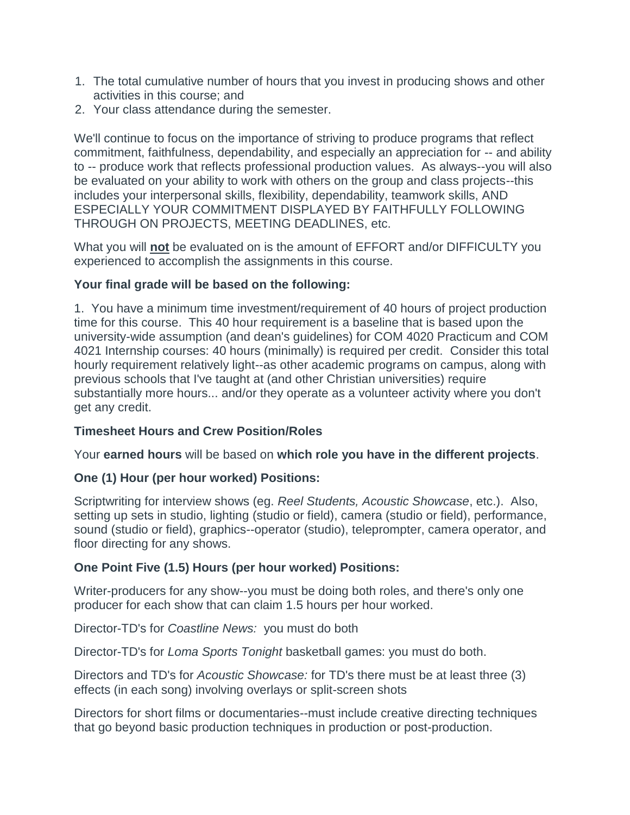- 1. The total cumulative number of hours that you invest in producing shows and other activities in this course; and
- 2. Your class attendance during the semester.

We'll continue to focus on the importance of striving to produce programs that reflect commitment, faithfulness, dependability, and especially an appreciation for -- and ability to -- produce work that reflects professional production values. As always--you will also be evaluated on your ability to work with others on the group and class projects--this includes your interpersonal skills, flexibility, dependability, teamwork skills, AND ESPECIALLY YOUR COMMITMENT DISPLAYED BY FAITHFULLY FOLLOWING THROUGH ON PROJECTS, MEETING DEADLINES, etc.

What you will **not** be evaluated on is the amount of EFFORT and/or DIFFICULTY you experienced to accomplish the assignments in this course.

#### **Your final grade will be based on the following:**

1. You have a minimum time investment/requirement of 40 hours of project production time for this course. This 40 hour requirement is a baseline that is based upon the university-wide assumption (and dean's guidelines) for COM 4020 Practicum and COM 4021 Internship courses: 40 hours (minimally) is required per credit. Consider this total hourly requirement relatively light--as other academic programs on campus, along with previous schools that I've taught at (and other Christian universities) require substantially more hours... and/or they operate as a volunteer activity where you don't get any credit.

#### **Timesheet Hours and Crew Position/Roles**

Your **earned hours** will be based on **which role you have in the different projects**.

#### **One (1) Hour (per hour worked) Positions:**

Scriptwriting for interview shows (eg. *Reel Students, Acoustic Showcase*, etc.). Also, setting up sets in studio, lighting (studio or field), camera (studio or field), performance, sound (studio or field), graphics--operator (studio), teleprompter, camera operator, and floor directing for any shows.

#### **One Point Five (1.5) Hours (per hour worked) Positions:**

Writer-producers for any show--you must be doing both roles, and there's only one producer for each show that can claim 1.5 hours per hour worked.

Director-TD's for *Coastline News:* you must do both

Director-TD's for *Loma Sports Tonight* basketball games: you must do both.

Directors and TD's for *Acoustic Showcase:* for TD's there must be at least three (3) effects (in each song) involving overlays or split-screen shots

Directors for short films or documentaries--must include creative directing techniques that go beyond basic production techniques in production or post-production.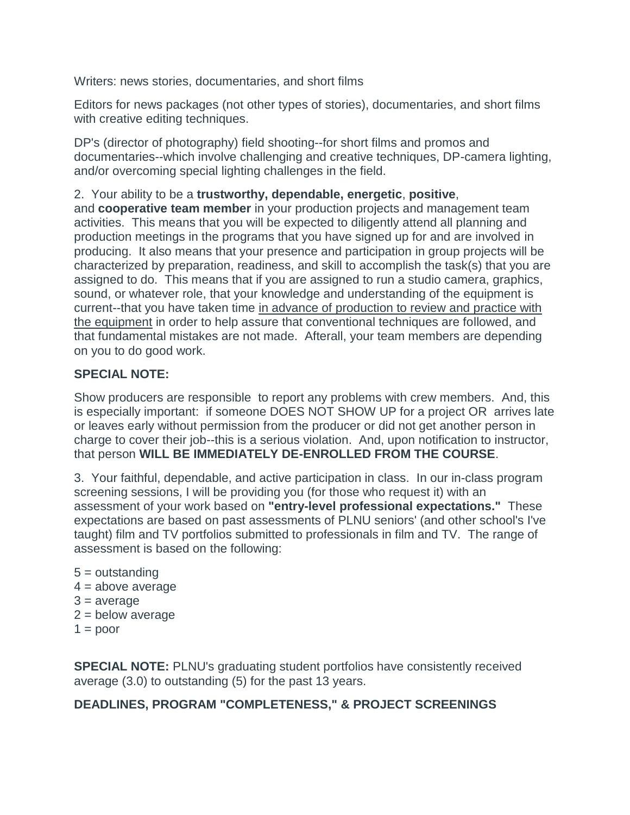Writers: news stories, documentaries, and short films

Editors for news packages (not other types of stories), documentaries, and short films with creative editing techniques.

DP's (director of photography) field shooting--for short films and promos and documentaries--which involve challenging and creative techniques, DP-camera lighting, and/or overcoming special lighting challenges in the field.

### 2. Your ability to be a **trustworthy, dependable, energetic**, **positive**,

and **cooperative team member** in your production projects and management team activities. This means that you will be expected to diligently attend all planning and production meetings in the programs that you have signed up for and are involved in producing. It also means that your presence and participation in group projects will be characterized by preparation, readiness, and skill to accomplish the task(s) that you are assigned to do. This means that if you are assigned to run a studio camera, graphics, sound, or whatever role, that your knowledge and understanding of the equipment is current--that you have taken time in advance of production to review and practice with the equipment in order to help assure that conventional techniques are followed, and that fundamental mistakes are not made. Afterall, your team members are depending on you to do good work.

#### **SPECIAL NOTE:**

Show producers are responsible to report any problems with crew members. And, this is especially important: if someone DOES NOT SHOW UP for a project OR arrives late or leaves early without permission from the producer or did not get another person in charge to cover their job--this is a serious violation. And, upon notification to instructor, that person **WILL BE IMMEDIATELY DE-ENROLLED FROM THE COURSE**.

3. Your faithful, dependable, and active participation in class. In our in-class program screening sessions, I will be providing you (for those who request it) with an assessment of your work based on **"entry-level professional expectations."** These expectations are based on past assessments of PLNU seniors' (and other school's I've taught) film and TV portfolios submitted to professionals in film and TV. The range of assessment is based on the following:

5 = outstanding  $4 = above average$  $3 =$  average  $2 =$  below average  $1 =$  poor

**SPECIAL NOTE:** PLNU's graduating student portfolios have consistently received average (3.0) to outstanding (5) for the past 13 years.

### **DEADLINES, PROGRAM "COMPLETENESS," & PROJECT SCREENINGS**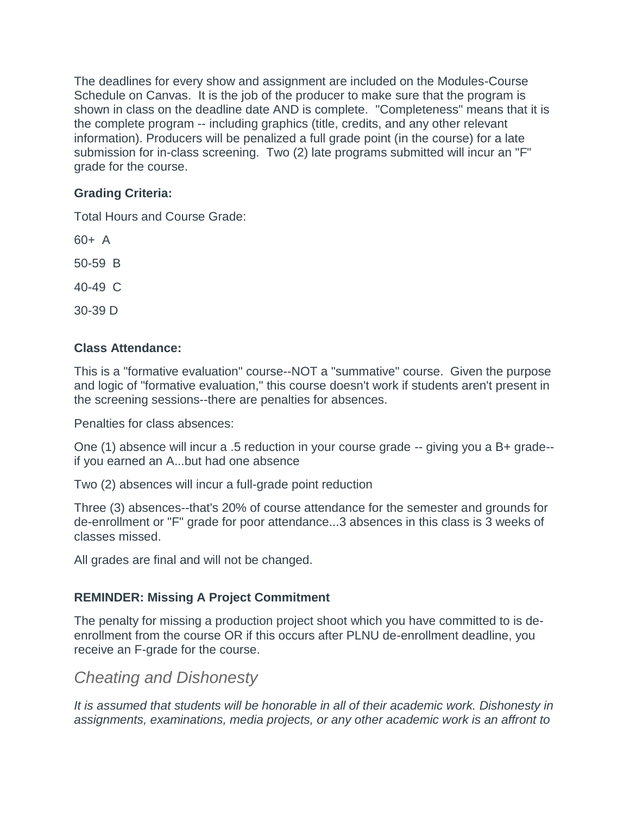The deadlines for every show and assignment are included on the Modules-Course Schedule on Canvas. It is the job of the producer to make sure that the program is shown in class on the deadline date AND is complete. "Completeness" means that it is the complete program -- including graphics (title, credits, and any other relevant information). Producers will be penalized a full grade point (in the course) for a late submission for in-class screening. Two (2) late programs submitted will incur an "F" grade for the course.

### **Grading Criteria:**

Total Hours and Course Grade:

60+ A

50-59 B

40-49 C

30-39 D

### **Class Attendance:**

This is a "formative evaluation" course--NOT a "summative" course. Given the purpose and logic of "formative evaluation," this course doesn't work if students aren't present in the screening sessions--there are penalties for absences.

Penalties for class absences:

One (1) absence will incur a .5 reduction in your course grade -- giving you a B+ grade- if you earned an A...but had one absence

Two (2) absences will incur a full-grade point reduction

Three (3) absences--that's 20% of course attendance for the semester and grounds for de-enrollment or "F" grade for poor attendance...3 absences in this class is 3 weeks of classes missed.

All grades are final and will not be changed.

### **REMINDER: Missing A Project Commitment**

The penalty for missing a production project shoot which you have committed to is deenrollment from the course OR if this occurs after PLNU de-enrollment deadline, you receive an F-grade for the course.

### *Cheating and Dishonesty*

*It is assumed that students will be honorable in all of their academic work. Dishonesty in assignments, examinations, media projects, or any other academic work is an affront to*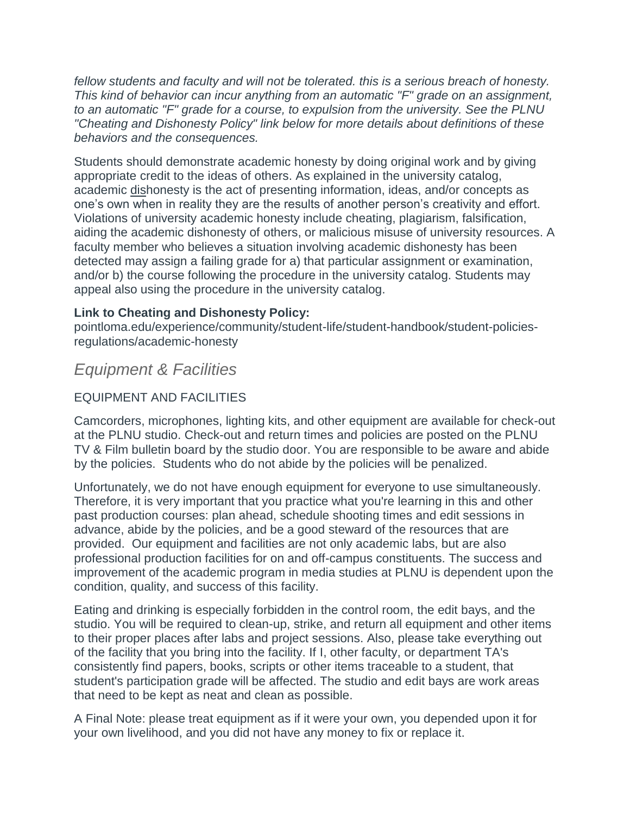*fellow students and faculty and will not be tolerated. this is a serious breach of honesty. This kind of behavior can incur anything from an automatic "F" grade on an assignment, to an automatic "F" grade for a course, to expulsion from the university. See the PLNU "Cheating and Dishonesty Policy" link below for more details about definitions of these behaviors and the consequences.*

Students should demonstrate academic honesty by doing original work and by giving appropriate credit to the ideas of others. As explained in the university catalog, academic dishonesty is the act of presenting information, ideas, and/or concepts as one's own when in reality they are the results of another person's creativity and effort. Violations of university academic honesty include cheating, plagiarism, falsification, aiding the academic dishonesty of others, or malicious misuse of university resources. A faculty member who believes a situation involving academic dishonesty has been detected may assign a failing grade for a) that particular assignment or examination, and/or b) the course following the procedure in the university catalog. Students may appeal also using the procedure in the university catalog.

#### **Link to Cheating and Dishonesty Policy:**

pointloma.edu/experience/community/student-life/student-handbook/student-policiesregulations/academic-honesty

## *Equipment & Facilities*

#### EQUIPMENT AND FACILITIES

Camcorders, microphones, lighting kits, and other equipment are available for check-out at the PLNU studio. Check-out and return times and policies are posted on the PLNU TV & Film bulletin board by the studio door. You are responsible to be aware and abide by the policies. Students who do not abide by the policies will be penalized.

Unfortunately, we do not have enough equipment for everyone to use simultaneously. Therefore, it is very important that you practice what you're learning in this and other past production courses: plan ahead, schedule shooting times and edit sessions in advance, abide by the policies, and be a good steward of the resources that are provided. Our equipment and facilities are not only academic labs, but are also professional production facilities for on and off-campus constituents. The success and improvement of the academic program in media studies at PLNU is dependent upon the condition, quality, and success of this facility.

Eating and drinking is especially forbidden in the control room, the edit bays, and the studio. You will be required to clean-up, strike, and return all equipment and other items to their proper places after labs and project sessions. Also, please take everything out of the facility that you bring into the facility. If I, other faculty, or department TA's consistently find papers, books, scripts or other items traceable to a student, that student's participation grade will be affected. The studio and edit bays are work areas that need to be kept as neat and clean as possible.

A Final Note: please treat equipment as if it were your own, you depended upon it for your own livelihood, and you did not have any money to fix or replace it.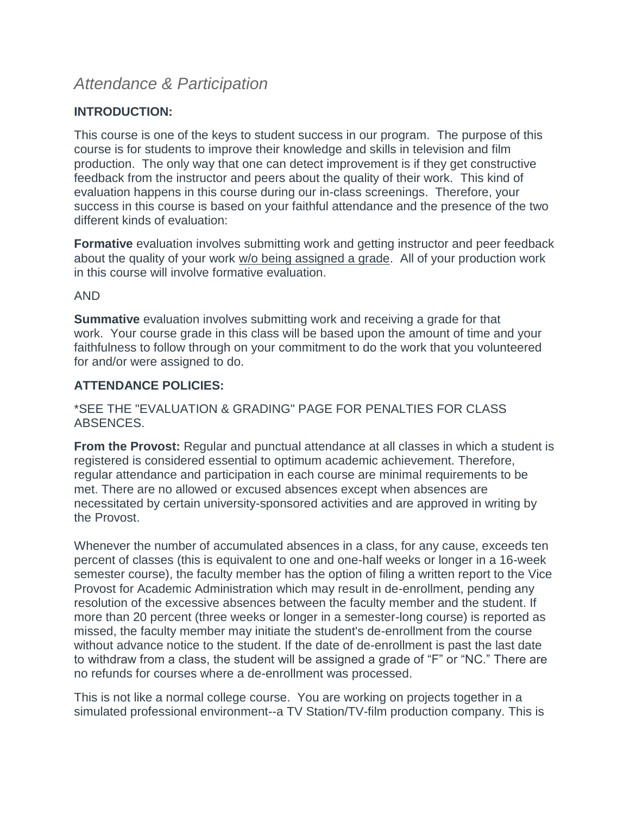## *Attendance & Participation*

#### **INTRODUCTION:**

This course is one of the keys to student success in our program. The purpose of this course is for students to improve their knowledge and skills in television and film production. The only way that one can detect improvement is if they get constructive feedback from the instructor and peers about the quality of their work. This kind of evaluation happens in this course during our in-class screenings. Therefore, your success in this course is based on your faithful attendance and the presence of the two different kinds of evaluation:

**Formative** evaluation involves submitting work and getting instructor and peer feedback about the quality of your work w/o being assigned a grade. All of your production work in this course will involve formative evaluation.

#### AND

**Summative** evaluation involves submitting work and receiving a grade for that work. Your course grade in this class will be based upon the amount of time and your faithfulness to follow through on your commitment to do the work that you volunteered for and/or were assigned to do.

#### **ATTENDANCE POLICIES:**

#### \*SEE THE "EVALUATION & GRADING" PAGE FOR PENALTIES FOR CLASS ABSENCES.

**From the Provost:** Regular and punctual attendance at all classes in which a student is registered is considered essential to optimum academic achievement. Therefore, regular attendance and participation in each course are minimal requirements to be met. There are no allowed or excused absences except when absences are necessitated by certain university-sponsored activities and are approved in writing by the Provost.

Whenever the number of accumulated absences in a class, for any cause, exceeds ten percent of classes (this is equivalent to one and one-half weeks or longer in a 16-week semester course), the faculty member has the option of filing a written report to the Vice Provost for Academic Administration which may result in de-enrollment, pending any resolution of the excessive absences between the faculty member and the student. If more than 20 percent (three weeks or longer in a semester-long course) is reported as missed, the faculty member may initiate the student's de-enrollment from the course without advance notice to the student. If the date of de-enrollment is past the last date to withdraw from a class, the student will be assigned a grade of "F" or "NC." There are no refunds for courses where a de-enrollment was processed.

This is not like a normal college course. You are working on projects together in a simulated professional environment--a TV Station/TV-film production company. This is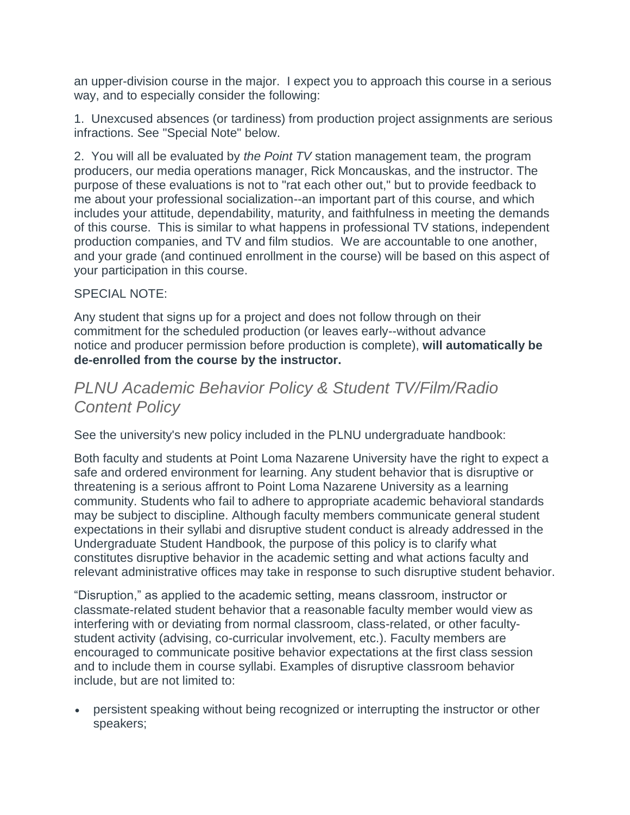an upper-division course in the major. I expect you to approach this course in a serious way, and to especially consider the following:

1. Unexcused absences (or tardiness) from production project assignments are serious infractions. See "Special Note" below.

2. You will all be evaluated by *the Point TV* station management team, the program producers, our media operations manager, Rick Moncauskas, and the instructor. The purpose of these evaluations is not to "rat each other out," but to provide feedback to me about your professional socialization--an important part of this course, and which includes your attitude, dependability, maturity, and faithfulness in meeting the demands of this course. This is similar to what happens in professional TV stations, independent production companies, and TV and film studios. We are accountable to one another, and your grade (and continued enrollment in the course) will be based on this aspect of your participation in this course.

#### SPECIAL NOTE:

Any student that signs up for a project and does not follow through on their commitment for the scheduled production (or leaves early--without advance notice and producer permission before production is complete), **will automatically be de-enrolled from the course by the instructor.**

## *PLNU Academic Behavior Policy & Student TV/Film/Radio Content Policy*

See the university's new policy included in the PLNU undergraduate handbook:

Both faculty and students at Point Loma Nazarene University have the right to expect a safe and ordered environment for learning. Any student behavior that is disruptive or threatening is a serious affront to Point Loma Nazarene University as a learning community. Students who fail to adhere to appropriate academic behavioral standards may be subject to discipline. Although faculty members communicate general student expectations in their syllabi and disruptive student conduct is already addressed in the Undergraduate Student Handbook, the purpose of this policy is to clarify what constitutes disruptive behavior in the academic setting and what actions faculty and relevant administrative offices may take in response to such disruptive student behavior.

"Disruption," as applied to the academic setting, means classroom, instructor or classmate-related student behavior that a reasonable faculty member would view as interfering with or deviating from normal classroom, class-related, or other facultystudent activity (advising, co-curricular involvement, etc.). Faculty members are encouraged to communicate positive behavior expectations at the first class session and to include them in course syllabi. Examples of disruptive classroom behavior include, but are not limited to:

 persistent speaking without being recognized or interrupting the instructor or other speakers;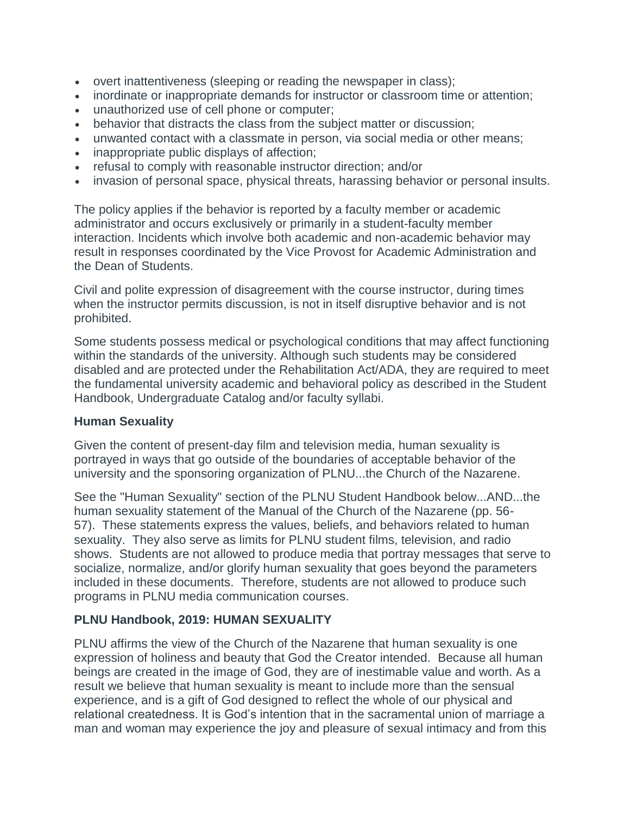- overt inattentiveness (sleeping or reading the newspaper in class);
- inordinate or inappropriate demands for instructor or classroom time or attention;
- unauthorized use of cell phone or computer;
- behavior that distracts the class from the subject matter or discussion;
- unwanted contact with a classmate in person, via social media or other means;
- inappropriate public displays of affection;
- refusal to comply with reasonable instructor direction; and/or
- invasion of personal space, physical threats, harassing behavior or personal insults.

The policy applies if the behavior is reported by a faculty member or academic administrator and occurs exclusively or primarily in a student-faculty member interaction. Incidents which involve both academic and non-academic behavior may result in responses coordinated by the Vice Provost for Academic Administration and the Dean of Students.

Civil and polite expression of disagreement with the course instructor, during times when the instructor permits discussion, is not in itself disruptive behavior and is not prohibited.

Some students possess medical or psychological conditions that may affect functioning within the standards of the university. Although such students may be considered disabled and are protected under the Rehabilitation Act/ADA, they are required to meet the fundamental university academic and behavioral policy as described in the Student Handbook, Undergraduate Catalog and/or faculty syllabi.

#### **Human Sexuality**

Given the content of present-day film and television media, human sexuality is portrayed in ways that go outside of the boundaries of acceptable behavior of the university and the sponsoring organization of PLNU...the Church of the Nazarene.

See the "Human Sexuality" section of the PLNU Student Handbook below...AND...the human sexuality statement of the Manual of the Church of the Nazarene (pp. 56- 57). These statements express the values, beliefs, and behaviors related to human sexuality. They also serve as limits for PLNU student films, television, and radio shows. Students are not allowed to produce media that portray messages that serve to socialize, normalize, and/or glorify human sexuality that goes beyond the parameters included in these documents. Therefore, students are not allowed to produce such programs in PLNU media communication courses.

#### **PLNU Handbook, 2019: HUMAN SEXUALITY**

PLNU affirms the view of the Church of the Nazarene that human sexuality is one expression of holiness and beauty that God the Creator intended. Because all human beings are created in the image of God, they are of inestimable value and worth. As a result we believe that human sexuality is meant to include more than the sensual experience, and is a gift of God designed to reflect the whole of our physical and relational createdness. It is God's intention that in the sacramental union of marriage a man and woman may experience the joy and pleasure of sexual intimacy and from this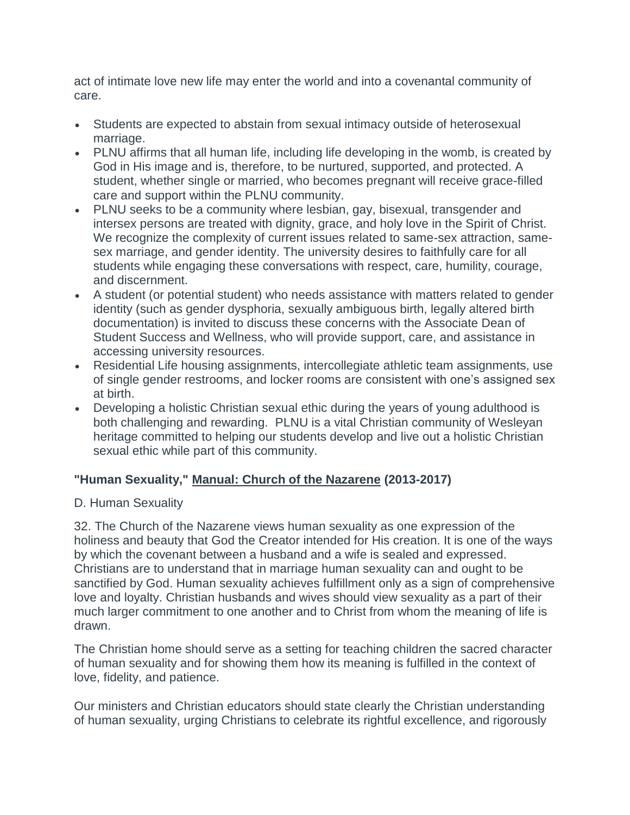act of intimate love new life may enter the world and into a covenantal community of care.

- Students are expected to abstain from sexual intimacy outside of heterosexual marriage.
- PLNU affirms that all human life, including life developing in the womb, is created by God in His image and is, therefore, to be nurtured, supported, and protected. A student, whether single or married, who becomes pregnant will receive grace-filled care and support within the PLNU community.
- PLNU seeks to be a community where lesbian, gay, bisexual, transgender and intersex persons are treated with dignity, grace, and holy love in the Spirit of Christ. We recognize the complexity of current issues related to same-sex attraction, samesex marriage, and gender identity. The university desires to faithfully care for all students while engaging these conversations with respect, care, humility, courage, and discernment.
- A student (or potential student) who needs assistance with matters related to gender identity (such as gender dysphoria, sexually ambiguous birth, legally altered birth documentation) is invited to discuss these concerns with the Associate Dean of Student Success and Wellness, who will provide support, care, and assistance in accessing university resources.
- Residential Life housing assignments, intercollegiate athletic team assignments, use of single gender restrooms, and locker rooms are consistent with one's assigned sex at birth.
- Developing a holistic Christian sexual ethic during the years of young adulthood is both challenging and rewarding. PLNU is a vital Christian community of Wesleyan heritage committed to helping our students develop and live out a holistic Christian sexual ethic while part of this community.

### **"Human Sexuality," Manual: Church of the Nazarene (2013-2017)**

#### D. Human Sexuality

32. The Church of the Nazarene views human sexuality as one expression of the holiness and beauty that God the Creator intended for His creation. It is one of the ways by which the covenant between a husband and a wife is sealed and expressed. Christians are to understand that in marriage human sexuality can and ought to be sanctified by God. Human sexuality achieves fulfillment only as a sign of comprehensive love and loyalty. Christian husbands and wives should view sexuality as a part of their much larger commitment to one another and to Christ from whom the meaning of life is drawn.

The Christian home should serve as a setting for teaching children the sacred character of human sexuality and for showing them how its meaning is fulfilled in the context of love, fidelity, and patience.

Our ministers and Christian educators should state clearly the Christian understanding of human sexuality, urging Christians to celebrate its rightful excellence, and rigorously